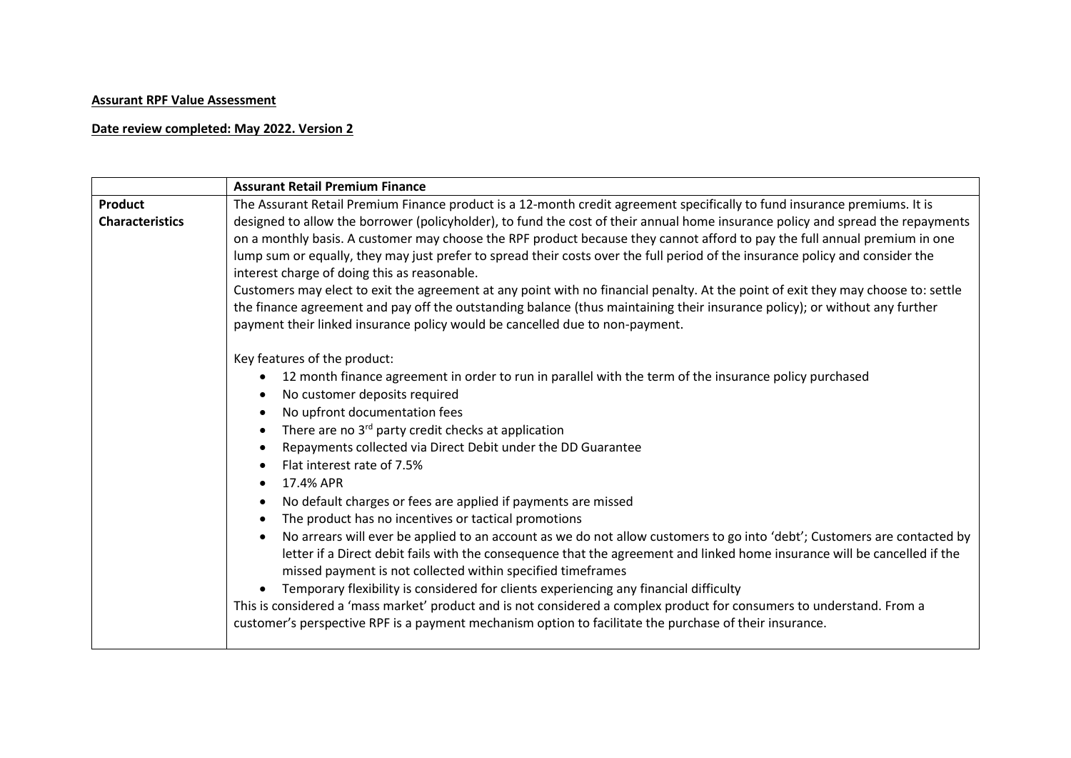## **Assurant RPF Value Assessment**

## **Date review completed: May 2022. Version 2**

|                        | <b>Assurant Retail Premium Finance</b>                                                                                            |
|------------------------|-----------------------------------------------------------------------------------------------------------------------------------|
| Product                | The Assurant Retail Premium Finance product is a 12-month credit agreement specifically to fund insurance premiums. It is         |
| <b>Characteristics</b> | designed to allow the borrower (policyholder), to fund the cost of their annual home insurance policy and spread the repayments   |
|                        | on a monthly basis. A customer may choose the RPF product because they cannot afford to pay the full annual premium in one        |
|                        | lump sum or equally, they may just prefer to spread their costs over the full period of the insurance policy and consider the     |
|                        | interest charge of doing this as reasonable.                                                                                      |
|                        | Customers may elect to exit the agreement at any point with no financial penalty. At the point of exit they may choose to: settle |
|                        | the finance agreement and pay off the outstanding balance (thus maintaining their insurance policy); or without any further       |
|                        | payment their linked insurance policy would be cancelled due to non-payment.                                                      |
|                        |                                                                                                                                   |
|                        | Key features of the product:                                                                                                      |
|                        | 12 month finance agreement in order to run in parallel with the term of the insurance policy purchased<br>$\bullet$               |
|                        | No customer deposits required                                                                                                     |
|                        | No upfront documentation fees                                                                                                     |
|                        | There are no 3 <sup>rd</sup> party credit checks at application<br>$\bullet$                                                      |
|                        | Repayments collected via Direct Debit under the DD Guarantee                                                                      |
|                        | Flat interest rate of 7.5%                                                                                                        |
|                        | 17.4% APR<br>$\bullet$                                                                                                            |
|                        | No default charges or fees are applied if payments are missed<br>$\bullet$                                                        |
|                        | The product has no incentives or tactical promotions                                                                              |
|                        | No arrears will ever be applied to an account as we do not allow customers to go into 'debt'; Customers are contacted by          |
|                        | letter if a Direct debit fails with the consequence that the agreement and linked home insurance will be cancelled if the         |
|                        | missed payment is not collected within specified timeframes                                                                       |
|                        | Temporary flexibility is considered for clients experiencing any financial difficulty                                             |
|                        | This is considered a 'mass market' product and is not considered a complex product for consumers to understand. From a            |
|                        | customer's perspective RPF is a payment mechanism option to facilitate the purchase of their insurance.                           |
|                        |                                                                                                                                   |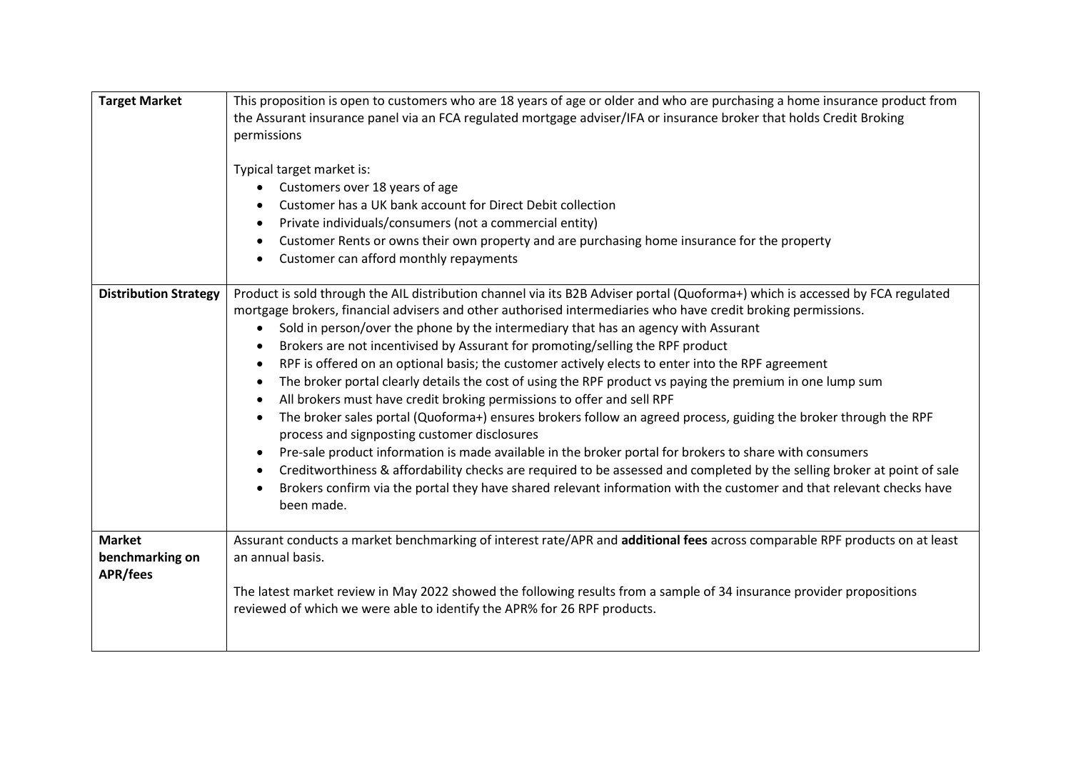| <b>Target Market</b>                                | This proposition is open to customers who are 18 years of age or older and who are purchasing a home insurance product from<br>the Assurant insurance panel via an FCA regulated mortgage adviser/IFA or insurance broker that holds Credit Broking<br>permissions<br>Typical target market is:<br>Customers over 18 years of age<br>Customer has a UK bank account for Direct Debit collection                                                                                                                                                                                                                                                                                                                                                                                                                                                                                                                                                                                                                                                                                                                                                                                                                                                                      |
|-----------------------------------------------------|----------------------------------------------------------------------------------------------------------------------------------------------------------------------------------------------------------------------------------------------------------------------------------------------------------------------------------------------------------------------------------------------------------------------------------------------------------------------------------------------------------------------------------------------------------------------------------------------------------------------------------------------------------------------------------------------------------------------------------------------------------------------------------------------------------------------------------------------------------------------------------------------------------------------------------------------------------------------------------------------------------------------------------------------------------------------------------------------------------------------------------------------------------------------------------------------------------------------------------------------------------------------|
|                                                     | Private individuals/consumers (not a commercial entity)<br>Customer Rents or owns their own property and are purchasing home insurance for the property<br>Customer can afford monthly repayments                                                                                                                                                                                                                                                                                                                                                                                                                                                                                                                                                                                                                                                                                                                                                                                                                                                                                                                                                                                                                                                                    |
| <b>Distribution Strategy</b>                        | Product is sold through the AIL distribution channel via its B2B Adviser portal (Quoforma+) which is accessed by FCA regulated<br>mortgage brokers, financial advisers and other authorised intermediaries who have credit broking permissions.<br>Sold in person/over the phone by the intermediary that has an agency with Assurant<br>Brokers are not incentivised by Assurant for promoting/selling the RPF product<br>RPF is offered on an optional basis; the customer actively elects to enter into the RPF agreement<br>The broker portal clearly details the cost of using the RPF product vs paying the premium in one lump sum<br>All brokers must have credit broking permissions to offer and sell RPF<br>The broker sales portal (Quoforma+) ensures brokers follow an agreed process, guiding the broker through the RPF<br>process and signposting customer disclosures<br>Pre-sale product information is made available in the broker portal for brokers to share with consumers<br>Creditworthiness & affordability checks are required to be assessed and completed by the selling broker at point of sale<br>Brokers confirm via the portal they have shared relevant information with the customer and that relevant checks have<br>been made. |
| <b>Market</b><br>benchmarking on<br><b>APR/fees</b> | Assurant conducts a market benchmarking of interest rate/APR and additional fees across comparable RPF products on at least<br>an annual basis.<br>The latest market review in May 2022 showed the following results from a sample of 34 insurance provider propositions<br>reviewed of which we were able to identify the APR% for 26 RPF products.                                                                                                                                                                                                                                                                                                                                                                                                                                                                                                                                                                                                                                                                                                                                                                                                                                                                                                                 |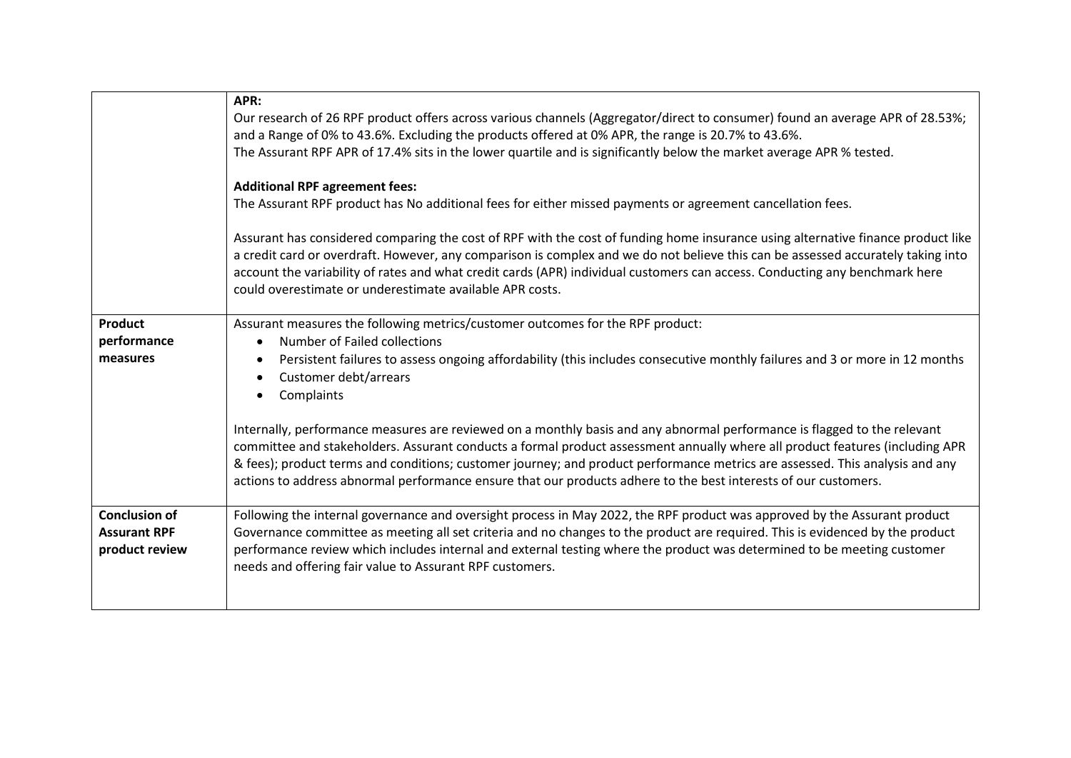|                                                               | APR:<br>Our research of 26 RPF product offers across various channels (Aggregator/direct to consumer) found an average APR of 28.53%;<br>and a Range of 0% to 43.6%. Excluding the products offered at 0% APR, the range is 20.7% to 43.6%.<br>The Assurant RPF APR of 17.4% sits in the lower quartile and is significantly below the market average APR % tested.<br><b>Additional RPF agreement fees:</b><br>The Assurant RPF product has No additional fees for either missed payments or agreement cancellation fees.<br>Assurant has considered comparing the cost of RPF with the cost of funding home insurance using alternative finance product like<br>a credit card or overdraft. However, any comparison is complex and we do not believe this can be assessed accurately taking into<br>account the variability of rates and what credit cards (APR) individual customers can access. Conducting any benchmark here<br>could overestimate or underestimate available APR costs. |
|---------------------------------------------------------------|-----------------------------------------------------------------------------------------------------------------------------------------------------------------------------------------------------------------------------------------------------------------------------------------------------------------------------------------------------------------------------------------------------------------------------------------------------------------------------------------------------------------------------------------------------------------------------------------------------------------------------------------------------------------------------------------------------------------------------------------------------------------------------------------------------------------------------------------------------------------------------------------------------------------------------------------------------------------------------------------------|
| <b>Product</b><br>performance<br>measures                     | Assurant measures the following metrics/customer outcomes for the RPF product:<br>Number of Failed collections<br>$\bullet$<br>Persistent failures to assess ongoing affordability (this includes consecutive monthly failures and 3 or more in 12 months<br>Customer debt/arrears<br>Complaints<br>Internally, performance measures are reviewed on a monthly basis and any abnormal performance is flagged to the relevant<br>committee and stakeholders. Assurant conducts a formal product assessment annually where all product features (including APR<br>& fees); product terms and conditions; customer journey; and product performance metrics are assessed. This analysis and any<br>actions to address abnormal performance ensure that our products adhere to the best interests of our customers.                                                                                                                                                                               |
| <b>Conclusion of</b><br><b>Assurant RPF</b><br>product review | Following the internal governance and oversight process in May 2022, the RPF product was approved by the Assurant product<br>Governance committee as meeting all set criteria and no changes to the product are required. This is evidenced by the product<br>performance review which includes internal and external testing where the product was determined to be meeting customer<br>needs and offering fair value to Assurant RPF customers.                                                                                                                                                                                                                                                                                                                                                                                                                                                                                                                                             |